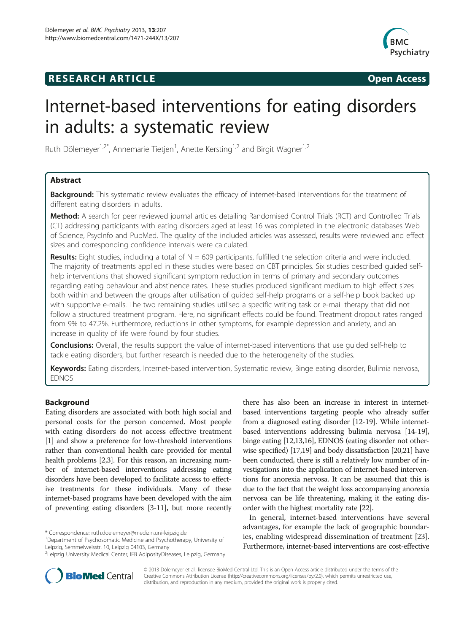## **RESEARCH ARTICLE Example 2014 CONSIDERING CONSIDERING CONSIDERING CONSIDERING CONSIDERING CONSIDERING CONSIDERING CONSIDERING CONSIDERING CONSIDERING CONSIDERING CONSIDERING CONSIDERING CONSIDERING CONSIDERING CONSIDE**



# Internet-based interventions for eating disorders in adults: a systematic review

Ruth Dölemeyer<sup>1,2\*</sup>, Annemarie Tietjen<sup>1</sup>, Anette Kersting<sup>1,2</sup> and Birgit Wagner<sup>1,2</sup>

## Abstract

**Background:** This systematic review evaluates the efficacy of internet-based interventions for the treatment of different eating disorders in adults.

Method: A search for peer reviewed journal articles detailing Randomised Control Trials (RCT) and Controlled Trials (CT) addressing participants with eating disorders aged at least 16 was completed in the electronic databases Web of Science, PsycInfo and PubMed. The quality of the included articles was assessed, results were reviewed and effect sizes and corresponding confidence intervals were calculated.

Results: Eight studies, including a total of  $N = 609$  participants, fulfilled the selection criteria and were included. The majority of treatments applied in these studies were based on CBT principles. Six studies described guided selfhelp interventions that showed significant symptom reduction in terms of primary and secondary outcomes regarding eating behaviour and abstinence rates. These studies produced significant medium to high effect sizes both within and between the groups after utilisation of guided self-help programs or a self-help book backed up with supportive e-mails. The two remaining studies utilised a specific writing task or e-mail therapy that did not follow a structured treatment program. Here, no significant effects could be found. Treatment dropout rates ranged from 9% to 47.2%. Furthermore, reductions in other symptoms, for example depression and anxiety, and an increase in quality of life were found by four studies.

Conclusions: Overall, the results support the value of internet-based interventions that use quided self-help to tackle eating disorders, but further research is needed due to the heterogeneity of the studies.

Keywords: Eating disorders, Internet-based intervention, Systematic review, Binge eating disorder, Bulimia nervosa, EDNOS

## Background

Eating disorders are associated with both high social and personal costs for the person concerned. Most people with eating disorders do not access effective treatment [[1](#page-14-0)] and show a preference for low-threshold interventions rather than conventional health care provided for mental health problems [\[2,3\]](#page-14-0). For this reason, an increasing number of internet-based interventions addressing eating disorders have been developed to facilitate access to effective treatments for these individuals. Many of these internet-based programs have been developed with the aim of preventing eating disorders [\[3-11\]](#page-14-0), but more recently

\* Correspondence: [ruth.doelemeyer@medizin.uni-leipzig.de](mailto:ruth.doelemeyer@medizin.uni-leipzig.de) <sup>1</sup>

<sup>1</sup>Department of Psychosomatic Medicine and Psychotherapy, University of Leipzig, Semmelweisstr. 10, Leipzig 04103, Germany

there has also been an increase in interest in internetbased interventions targeting people who already suffer from a diagnosed eating disorder [\[12-19\]](#page-14-0). While internetbased interventions addressing bulimia nervosa [\[14](#page-14-0)-[19](#page-14-0)], binge eating [\[12,13,16\]](#page-14-0), EDNOS (eating disorder not otherwise specified) [\[17,19](#page-14-0)] and body dissatisfaction [[20,21\]](#page-14-0) have been conducted, there is still a relatively low number of investigations into the application of internet-based interventions for anorexia nervosa. It can be assumed that this is due to the fact that the weight loss accompanying anorexia nervosa can be life threatening, making it the eating disorder with the highest mortality rate [[22](#page-14-0)].

In general, internet-based interventions have several advantages, for example the lack of geographic boundaries, enabling widespread dissemination of treatment [\[23](#page-14-0)]. Furthermore, internet-based interventions are cost-effective



© 2013 Dölemeyer et al.; licensee BioMed Central Ltd. This is an Open Access article distributed under the terms of the Creative Commons Attribution License (<http://creativecommons.org/licenses/by/2.0>), which permits unrestricted use, distribution, and reproduction in any medium, provided the original work is properly cited.

<sup>&</sup>lt;sup>2</sup>Leipzig University Medical Center, IFB AdiposityDiseases, Leipzig, Germany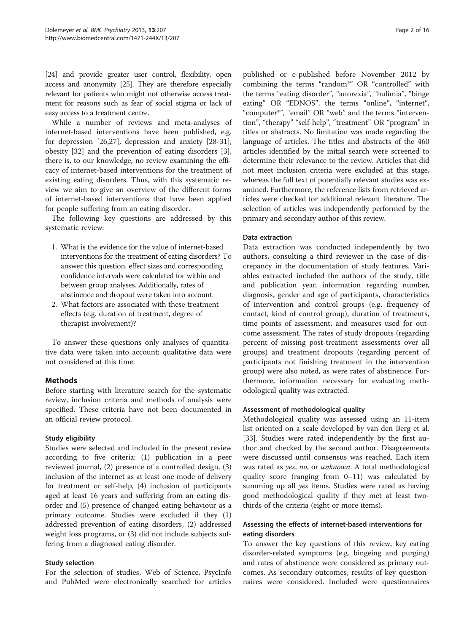[[24](#page-15-0)] and provide greater user control, flexibility, open access and anonymity [\[25\]](#page-15-0). They are therefore especially relevant for patients who might not otherwise access treatment for reasons such as fear of social stigma or lack of easy access to a treatment centre.

While a number of reviews and meta-analyses of internet-based interventions have been published, e.g. for depression [[26,27](#page-15-0)], depression and anxiety [\[28-31](#page-15-0)], obesity [[32](#page-15-0)] and the prevention of eating disorders [\[3](#page-14-0)], there is, to our knowledge, no review examining the efficacy of internet-based interventions for the treatment of existing eating disorders. Thus, with this systematic review we aim to give an overview of the different forms of internet-based interventions that have been applied for people suffering from an eating disorder.

The following key questions are addressed by this systematic review:

- 1. What is the evidence for the value of internet-based interventions for the treatment of eating disorders? To answer this question, effect sizes and corresponding confidence intervals were calculated for within and between group analyses. Additionally, rates of abstinence and dropout were taken into account.
- 2. What factors are associated with these treatment effects (e.g. duration of treatment, degree of therapist involvement)?

To answer these questions only analyses of quantitative data were taken into account; qualitative data were not considered at this time.

## **Methods**

Before starting with literature search for the systematic review, inclusion criteria and methods of analysis were specified. These criteria have not been documented in an official review protocol.

## Study eligibility

Studies were selected and included in the present review according to five criteria: (1) publication in a peer reviewed journal, (2) presence of a controlled design, (3) inclusion of the internet as at least one mode of delivery for treatment or self-help, (4) inclusion of participants aged at least 16 years and suffering from an eating disorder and (5) presence of changed eating behaviour as a primary outcome. Studies were excluded if they (1) addressed prevention of eating disorders, (2) addressed weight loss programs, or (3) did not include subjects suffering from a diagnosed eating disorder.

## Study selection

For the selection of studies, Web of Science, PsycInfo and PubMed were electronically searched for articles

published or e-published before November 2012 by combining the terms "random<sup>\*"</sup> OR "controlled" with the terms "eating disorder", "anorexia", "bulimia", "binge eating" OR "EDNOS", the terms "online", "internet", "computer\*", "email" OR "web" and the terms "intervention", "therapy" "self-help", "treatment" OR "program" in titles or abstracts. No limitation was made regarding the language of articles. The titles and abstracts of the 460 articles identified by the initial search were screened to determine their relevance to the review. Articles that did not meet inclusion criteria were excluded at this stage, whereas the full text of potentially relevant studies was examined. Furthermore, the reference lists from retrieved articles were checked for additional relevant literature. The selection of articles was independently performed by the primary and secondary author of this review.

## Data extraction

Data extraction was conducted independently by two authors, consulting a third reviewer in the case of discrepancy in the documentation of study features. Variables extracted included the authors of the study, title and publication year, information regarding number, diagnosis, gender and age of participants, characteristics of intervention and control groups (e.g. frequency of contact, kind of control group), duration of treatments, time points of assessment, and measures used for outcome assessment. The rates of study dropouts (regarding percent of missing post-treatment assessments over all groups) and treatment dropouts (regarding percent of participants not finishing treatment in the intervention group) were also noted, as were rates of abstinence. Furthermore, information necessary for evaluating methodological quality was extracted.

## Assessment of methodological quality

Methodological quality was assessed using an 11-item list oriented on a scale developed by van den Berg et al. [[33\]](#page-15-0). Studies were rated independently by the first author and checked by the second author. Disagreements were discussed until consensus was reached. Each item was rated as yes, no, or unknown. A total methodological quality score (ranging from 0–11) was calculated by summing up all yes items. Studies were rated as having good methodological quality if they met at least twothirds of the criteria (eight or more items).

## Assessing the effects of internet-based interventions for eating disorders

To answer the key questions of this review, key eating disorder-related symptoms (e.g. bingeing and purging) and rates of abstinence were considered as primary outcomes. As secondary outcomes, results of key questionnaires were considered. Included were questionnaires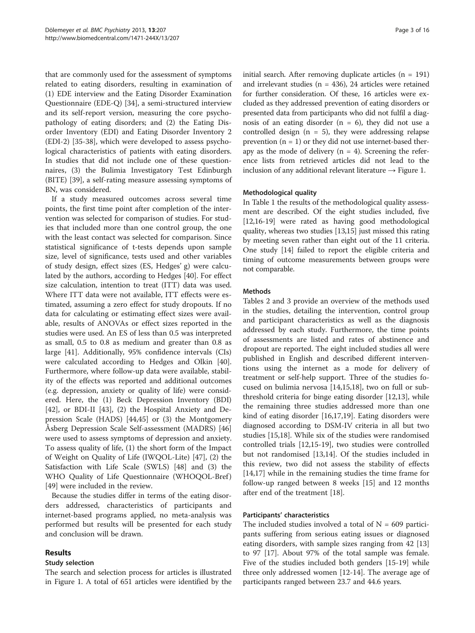that are commonly used for the assessment of symptoms related to eating disorders, resulting in examination of (1) EDE interview and the Eating Disorder Examination Questionnaire (EDE-Q) [\[34](#page-15-0)], a semi-structured interview and its self-report version, measuring the core psychopathology of eating disorders; and (2) the Eating Disorder Inventory (EDI) and Eating Disorder Inventory 2 (EDI-2) [[35-38](#page-15-0)], which were developed to assess psychological characteristics of patients with eating disorders. In studies that did not include one of these questionnaires, (3) the Bulimia Investigatory Test Edinburgh (BITE) [\[39](#page-15-0)], a self-rating measure assessing symptoms of BN, was considered.

If a study measured outcomes across several time points, the first time point after completion of the intervention was selected for comparison of studies. For studies that included more than one control group, the one with the least contact was selected for comparison. Since statistical significance of t-tests depends upon sample size, level of significance, tests used and other variables of study design, effect sizes (ES, Hedges' g) were calculated by the authors, according to Hedges [[40](#page-15-0)]. For effect size calculation, intention to treat (ITT) data was used. Where ITT data were not available, ITT effects were estimated, assuming a zero effect for study dropouts. If no data for calculating or estimating effect sizes were available, results of ANOVAs or effect sizes reported in the studies were used. An ES of less than 0.5 was interpreted as small, 0.5 to 0.8 as medium and greater than 0.8 as large [\[41](#page-15-0)]. Additionally, 95% confidence intervals (CIs) were calculated according to Hedges and Olkin [\[40](#page-15-0)]. Furthermore, where follow-up data were available, stability of the effects was reported and additional outcomes (e.g. depression, anxiety or quality of life) were considered. Here, the (1) Beck Depression Inventory (BDI) [[42\]](#page-15-0), or BDI-II [\[43](#page-15-0)], (2) the Hospital Anxiety and Depression Scale (HADS) [\[44,45](#page-15-0)] or (3) the Montgomery Åsberg Depression Scale Self-assessment (MADRS) [[46](#page-15-0)] were used to assess symptoms of depression and anxiety. To assess quality of life, (1) the short form of the Impact of Weight on Quality of Life (IWQOL-Lite) [[47](#page-15-0)], (2) the Satisfaction with Life Scale (SWLS) [\[48](#page-15-0)] and (3) the WHO Quality of Life Questionnaire (WHOQOL-Bref) [[49\]](#page-15-0) were included in the review.

Because the studies differ in terms of the eating disorders addressed, characteristics of participants and internet-based programs applied, no meta-analysis was performed but results will be presented for each study and conclusion will be drawn.

## Results

## Study selection

The search and selection process for articles is illustrated in Figure [1.](#page-3-0) A total of 651 articles were identified by the initial search. After removing duplicate articles  $(n = 191)$ and irrelevant studies ( $n = 436$ ), 24 articles were retained for further consideration. Of these, 16 articles were excluded as they addressed prevention of eating disorders or presented data from participants who did not fulfil a diagnosis of an eating disorder  $(n = 6)$ , they did not use a controlled design  $(n = 5)$ , they were addressing relapse prevention  $(n = 1)$  or they did not use internet-based therapy as the mode of delivery  $(n = 4)$ . Screening the reference lists from retrieved articles did not lead to the inclusion of any additional relevant literature  $\rightarrow$  Figure [1.](#page-3-0)

## Methodological quality

In Table [1](#page-4-0) the results of the methodological quality assessment are described. Of the eight studies included, five [[12](#page-14-0),[16](#page-14-0)-[19](#page-14-0)] were rated as having good methodological quality, whereas two studies [\[13,15](#page-14-0)] just missed this rating by meeting seven rather than eight out of the 11 criteria. One study [[14](#page-14-0)] failed to report the eligible criteria and timing of outcome measurements between groups were not comparable.

## **Methods**

Tables [2](#page-5-0) and [3](#page-7-0) provide an overview of the methods used in the studies, detailing the intervention, control group and participant characteristics as well as the diagnosis addressed by each study. Furthermore, the time points of assessments are listed and rates of abstinence and dropout are reported. The eight included studies all were published in English and described different interventions using the internet as a mode for delivery of treatment or self-help support. Three of the studies focused on bulimia nervosa [\[14,15,18\]](#page-14-0), two on full or subthreshold criteria for binge eating disorder [[12](#page-14-0),[13](#page-14-0)], while the remaining three studies addressed more than one kind of eating disorder [\[16,17,19](#page-14-0)]. Eating disorders were diagnosed according to DSM-IV criteria in all but two studies [\[15,18\]](#page-14-0). While six of the studies were randomised controlled trials [[12](#page-14-0),[15](#page-14-0)-[19\]](#page-14-0), two studies were controlled but not randomised [[13,14\]](#page-14-0). Of the studies included in this review, two did not assess the stability of effects [[14,17\]](#page-14-0) while in the remaining studies the time frame for follow-up ranged between 8 weeks [[15\]](#page-14-0) and 12 months after end of the treatment [[18\]](#page-14-0).

## Participants' characteristics

The included studies involved a total of  $N = 609$  participants suffering from serious eating issues or diagnosed eating disorders, with sample sizes ranging from 42 [[13](#page-14-0)] to 97 [[17](#page-14-0)]. About 97% of the total sample was female. Five of the studies included both genders [[15](#page-14-0)-[19\]](#page-14-0) while three only addressed women [\[12](#page-14-0)-[14](#page-14-0)]. The average age of participants ranged between 23.7 and 44.6 years.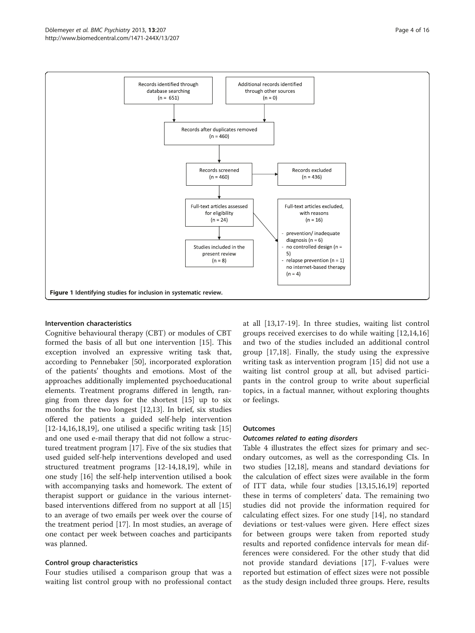<span id="page-3-0"></span>

## Intervention characteristics

Cognitive behavioural therapy (CBT) or modules of CBT formed the basis of all but one intervention [[15\]](#page-14-0). This exception involved an expressive writing task that, according to Pennebaker [\[50](#page-15-0)], incorporated exploration of the patients' thoughts and emotions. Most of the approaches additionally implemented psychoeducational elements. Treatment programs differed in length, ranging from three days for the shortest [\[15\]](#page-14-0) up to six months for the two longest [\[12,13\]](#page-14-0). In brief, six studies offered the patients a guided self-help intervention  $[12-14,16,18,19]$  $[12-14,16,18,19]$ , one utilised a specific writing task  $[15]$  $[15]$  $[15]$ and one used e-mail therapy that did not follow a structured treatment program [\[17](#page-14-0)]. Five of the six studies that used guided self-help interventions developed and used structured treatment programs [\[12](#page-14-0)-[14,18,19\]](#page-14-0), while in one study [[16\]](#page-14-0) the self-help intervention utilised a book with accompanying tasks and homework. The extent of therapist support or guidance in the various internetbased interventions differed from no support at all [[15](#page-14-0)] to an average of two emails per week over the course of the treatment period [\[17](#page-14-0)]. In most studies, an average of one contact per week between coaches and participants was planned.

## Control group characteristics

Four studies utilised a comparison group that was a waiting list control group with no professional contact at all [[13,17](#page-14-0)-[19\]](#page-14-0). In three studies, waiting list control groups received exercises to do while waiting [[12,14,16](#page-14-0)] and two of the studies included an additional control group [\[17,18\]](#page-14-0). Finally, the study using the expressive writing task as intervention program [\[15](#page-14-0)] did not use a waiting list control group at all, but advised participants in the control group to write about superficial topics, in a factual manner, without exploring thoughts or feelings.

## **Outcomes**

## Outcomes related to eating disorders

Table [4](#page-8-0) illustrates the effect sizes for primary and secondary outcomes, as well as the corresponding CIs. In two studies [\[12,18\]](#page-14-0), means and standard deviations for the calculation of effect sizes were available in the form of ITT data, while four studies [[13](#page-14-0),[15](#page-14-0),[16](#page-14-0),[19](#page-14-0)] reported these in terms of completers' data. The remaining two studies did not provide the information required for calculating effect sizes. For one study [[14\]](#page-14-0), no standard deviations or test-values were given. Here effect sizes for between groups were taken from reported study results and reported confidence intervals for mean differences were considered. For the other study that did not provide standard deviations [[17\]](#page-14-0), F-values were reported but estimation of effect sizes were not possible as the study design included three groups. Here, results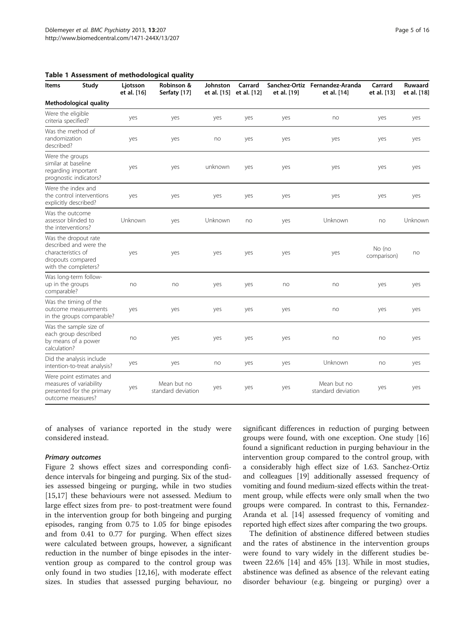<span id="page-4-0"></span>

|  |  |  | Table 1 Assessment of methodological quality |  |
|--|--|--|----------------------------------------------|--|
|--|--|--|----------------------------------------------|--|

| Study<br>Items                                                                                                    | Ljotsson<br>et al. [16] | Robinson &<br>Serfaty [17]        | Johnston<br>et al. [15] | Carrard<br>et al. [12] | et al. [19] | Sanchez-Ortiz Fernandez-Aranda<br>et al. [14] | Carrard<br>et al. [13] | <b>Ruwaard</b><br>et al. [18] |
|-------------------------------------------------------------------------------------------------------------------|-------------------------|-----------------------------------|-------------------------|------------------------|-------------|-----------------------------------------------|------------------------|-------------------------------|
| Methodological quality                                                                                            |                         |                                   |                         |                        |             |                                               |                        |                               |
| Were the eligible<br>criteria specified?                                                                          | yes                     | yes                               | yes                     | yes                    | yes         | no                                            | yes                    | yes                           |
| Was the method of<br>randomization<br>described?                                                                  | yes                     | yes                               | no                      | yes                    | yes         | yes                                           | yes                    | yes                           |
| Were the groups<br>similar at baseline<br>regarding important<br>prognostic indicators?                           | yes                     | yes                               | unknown                 | yes                    | yes         | yes                                           | yes                    | yes                           |
| Were the index and<br>the control interventions<br>explicitly described?                                          | yes                     | yes                               | yes                     | yes                    | yes         | yes                                           | yes                    | yes                           |
| Was the outcome<br>assessor blinded to<br>the interventions?                                                      | Unknown                 | yes                               | Unknown                 | no                     | yes         | Unknown                                       | no                     | Unknown                       |
| Was the dropout rate<br>described and were the<br>characteristics of<br>dropouts compared<br>with the completers? | yes                     | yes                               | yes                     | yes                    | yes         | yes                                           | No (no<br>comparison)  | no                            |
| Was long-term follow-<br>up in the groups<br>comparable?                                                          | no                      | no                                | yes                     | yes                    | no          | no                                            | yes                    | yes                           |
| Was the timing of the<br>outcome measurements<br>in the groups comparable?                                        | yes                     | yes                               | yes                     | yes                    | yes         | no                                            | yes                    | yes                           |
| Was the sample size of<br>each group described<br>by means of a power<br>calculation?                             | no<br>yes               |                                   | yes                     | yes                    | yes         | no                                            | no                     | yes                           |
| Did the analysis include<br>intention-to-treat analysis?                                                          | yes                     | yes                               | no                      | yes                    | yes         | Unknown                                       | no                     | yes                           |
| Were point estimates and<br>measures of variability<br>presented for the primary<br>outcome measures?             | yes                     | Mean but no<br>standard deviation | yes                     | yes                    | yes         | Mean but no<br>standard deviation             | yes                    | yes                           |

of analyses of variance reported in the study were considered instead.

## Primary outcomes

Figure [2](#page-10-0) shows effect sizes and corresponding confidence intervals for bingeing and purging. Six of the studies assessed bingeing or purging, while in two studies [[15,17\]](#page-14-0) these behaviours were not assessed. Medium to large effect sizes from pre- to post-treatment were found in the intervention group for both bingeing and purging episodes, ranging from 0.75 to 1.05 for binge episodes and from 0.41 to 0.77 for purging. When effect sizes were calculated between groups, however, a significant reduction in the number of binge episodes in the intervention group as compared to the control group was only found in two studies [[12,16\]](#page-14-0), with moderate effect sizes. In studies that assessed purging behaviour, no

significant differences in reduction of purging between groups were found, with one exception. One study [[16](#page-14-0)] found a significant reduction in purging behaviour in the intervention group compared to the control group, with a considerably high effect size of 1.63. Sanchez-Ortiz and colleagues [\[19\]](#page-14-0) additionally assessed frequency of vomiting and found medium-sized effects within the treatment group, while effects were only small when the two groups were compared. In contrast to this, Fernandez-Aranda et al. [\[14\]](#page-14-0) assessed frequency of vomiting and reported high effect sizes after comparing the two groups.

The definition of abstinence differed between studies and the rates of abstinence in the intervention groups were found to vary widely in the different studies between 22.6% [[14\]](#page-14-0) and 45% [[13\]](#page-14-0). While in most studies, abstinence was defined as absence of the relevant eating disorder behaviour (e.g. bingeing or purging) over a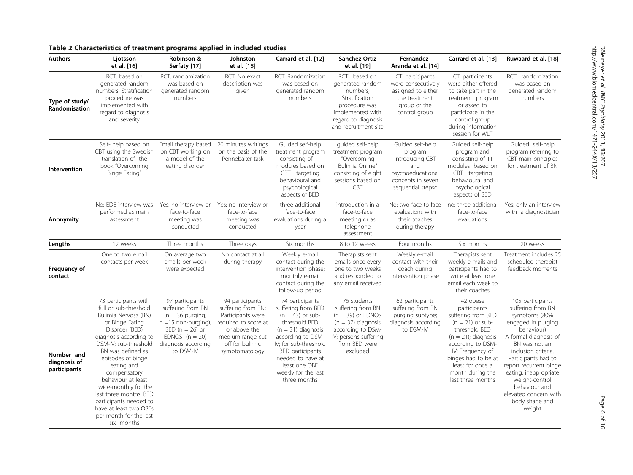<u>اب</u> :207

## <span id="page-5-0"></span>Table 2 Characteristics of treatment programs applied in included studies

| <b>Authors</b>                             | Ljotsson<br>et al. [16]                                                                                                                                                                                                                                                                                                                                                                                    | Robinson &<br>Serfaty [17]                                                                                                                                          | Johnston<br>et al. [15]                                                                                                                                     | Carrard et al. [12]                                                                                                                                                                                                                                 | Sanchez-Ortiz<br>et al. [19]                                                                                                                               | Fernandez-<br>Aranda et al. [14]                                                                                     | Carrard et al. [13]                                                                                                                                                                                                                          | Ruwaard et al. [18]                                                                                                                                                                                                                                                                                                           |
|--------------------------------------------|------------------------------------------------------------------------------------------------------------------------------------------------------------------------------------------------------------------------------------------------------------------------------------------------------------------------------------------------------------------------------------------------------------|---------------------------------------------------------------------------------------------------------------------------------------------------------------------|-------------------------------------------------------------------------------------------------------------------------------------------------------------|-----------------------------------------------------------------------------------------------------------------------------------------------------------------------------------------------------------------------------------------------------|------------------------------------------------------------------------------------------------------------------------------------------------------------|----------------------------------------------------------------------------------------------------------------------|----------------------------------------------------------------------------------------------------------------------------------------------------------------------------------------------------------------------------------------------|-------------------------------------------------------------------------------------------------------------------------------------------------------------------------------------------------------------------------------------------------------------------------------------------------------------------------------|
| Type of study/<br>Randomisation            | RCT: based on<br>generated random<br>numbers; Stratification<br>procedure was<br>implemented with<br>regard to diagnosis<br>and severity                                                                                                                                                                                                                                                                   | RCT: randomization<br>was based on<br>generated random<br>numbers                                                                                                   | RCT: No exact<br>description was<br>given                                                                                                                   | RCT: Randomization<br>was based on<br>generated random<br>numbers                                                                                                                                                                                   | RCT: based on<br>generated random<br>numbers;<br>Stratification<br>procedure was<br>implemented with<br>regard to diagnosis<br>and recruitment site        | CT: participants<br>were consecutively<br>assigned to either<br>the treatment<br>group or the<br>control group       | CT: participants<br>were either offered<br>to take part in the<br>treatment program<br>or asked to<br>participate in the<br>control group<br>during information<br>session for WLT                                                           | RCT: randomization<br>was based on<br>generated random<br>numbers                                                                                                                                                                                                                                                             |
| Intervention                               | Self- help based on<br>CBT using the Swedish<br>translation of the<br>book "Overcoming<br>Binge Eating"                                                                                                                                                                                                                                                                                                    | Email therapy based<br>on CBT working on<br>a model of the<br>eating disorder                                                                                       | 20 minutes writings<br>on the basis of the<br>Pennebaker task                                                                                               | Guided self-help<br>treatment program<br>consisting of 11<br>modules based on<br>CBT targeting<br>behavioural and<br>psychological<br>aspects of BED                                                                                                | guided self-help<br>treatment program<br>"Overcoming<br>Bulimia Online"<br>consisting of eight<br>sessions based on<br><b>CBT</b>                          | Guided self-help<br>program<br>introducing CBT<br>and<br>psychoeducational<br>concepts in seven<br>sequential stepsc | Guided self-help<br>program and<br>consisting of 11<br>modules based on<br>CBT targeting<br>behavioural and<br>psychological<br>aspects of BED                                                                                               | Guided self-help<br>program referring to<br>CBT main principles<br>for treatment of BN                                                                                                                                                                                                                                        |
| Anonymity                                  | No: EDE interview was<br>performed as main<br>assessment                                                                                                                                                                                                                                                                                                                                                   | Yes: no interview or<br>face-to-face<br>meeting was<br>conducted                                                                                                    | Yes: no interview or<br>face-to-face<br>meeting was<br>conducted                                                                                            | three additional<br>face-to-face<br>evaluations during a<br>year                                                                                                                                                                                    | introduction in a<br>face-to-face<br>meeting or as<br>telephone<br>assessment                                                                              | No: two face-to-face<br>evaluations with<br>their coaches<br>during therapy                                          | no: three additional<br>face-to-face<br>evaluations                                                                                                                                                                                          | Yes: only an interview<br>with a diagnostician                                                                                                                                                                                                                                                                                |
| Lengths                                    | 12 weeks                                                                                                                                                                                                                                                                                                                                                                                                   | Three months                                                                                                                                                        | Three days                                                                                                                                                  | Six months                                                                                                                                                                                                                                          | 8 to 12 weeks                                                                                                                                              | Four months                                                                                                          | Six months                                                                                                                                                                                                                                   | 20 weeks                                                                                                                                                                                                                                                                                                                      |
| Frequency of<br>contact                    | One to two email<br>contacts per week                                                                                                                                                                                                                                                                                                                                                                      | On average two<br>emails per week<br>were expected                                                                                                                  | No contact at all<br>during therapy                                                                                                                         | Weekly e-mail<br>contact during the<br>intervention phase;<br>monthly e-mail<br>contact during the<br>follow-up period                                                                                                                              | Therapists sent<br>emails once every<br>one to two weeks<br>and responded to<br>any email received                                                         | Weekly e-mail<br>contact with their<br>coach during<br>intervention phase                                            | Therapists sent<br>weekly e-mails and<br>participants had to<br>write at least one<br>email each week to<br>their coaches                                                                                                                    | Treatment includes 25<br>scheduled therapist<br>feedback moments                                                                                                                                                                                                                                                              |
| Number and<br>diagnosis of<br>participants | 73 participants with<br>full or sub-threshold<br>Bulimia Nervosa (BN)<br>or Binge Eating<br>Disorder (BED)<br>diagnosis according to<br>DSM-IV; sub-threshold<br>BN was defined as<br>episodes of binge<br>eating and<br>compensatory<br>behaviour at least<br>twice-monthly for the<br>last three months. BED<br>participants needed to<br>have at least two OBEs<br>per month for the last<br>six months | 97 participants<br>suffering from BN<br>$(n = 36$ purging;<br>$n = 15$ non-purging),<br>BED ( $n = 26$ ) or<br>EDNOS $(n = 20)$<br>diagnosis according<br>to DSM-IV | 94 participants<br>suffering from BN;<br>Participants were<br>required to score at<br>or above the<br>medium-range cut<br>off for bulimic<br>symptomatology | 74 participants<br>suffering from BED<br>$(n = 43)$ or sub-<br>threshold BED<br>$(n = 31)$ diagnosis<br>according to DSM-<br>IV: for sub-threshold<br>BED participants<br>needed to have at<br>least one OBE<br>weekly for the last<br>three months | 76 students<br>suffering from BN<br>$(n = 39)$ or EDNOS<br>$(n = 37)$ diagnosis<br>according to DSM-<br>IV; persons suffering<br>from BED were<br>excluded | 62 participants<br>suffering from BN<br>purging subtype;<br>diagnosis according<br>to DSM-IV                         | 42 obese<br>participants<br>suffering from BED<br>$(n = 21)$ or sub-<br>threshold BED<br>$(n = 21)$ ; diagnosis<br>according to DSM-<br>IV; Frequency of<br>binges had to be at<br>least for once a<br>month during the<br>last three months | 105 participants<br>suffering from BN<br>symptoms (80%<br>engaged in purging<br>behaviour)<br>A formal diagnosis of<br>BN was not an<br>inclusion criteria.<br>Participants had to<br>report recurrent binge<br>eating, inappropriate<br>weight-control<br>behaviour and<br>elevated concern with<br>body shape and<br>weight |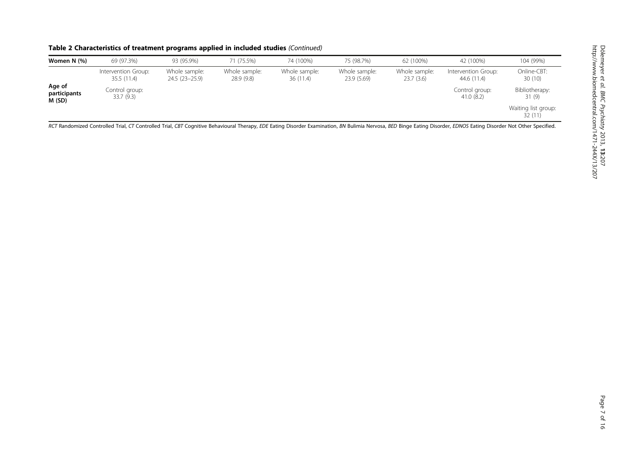| Table 2 Characteristics of treatment programs applied in included studies (Continued) |  |
|---------------------------------------------------------------------------------------|--|
|---------------------------------------------------------------------------------------|--|

| Women N (%)                      | 69 (97.3%)                        | 93 (95.9%)                      | 71 (75.5%)                 | 74 (100%)                 | 75 (98.7%)                  | 62 (100%)                  | 42 (100%)                          | 104 (99%)                     |
|----------------------------------|-----------------------------------|---------------------------------|----------------------------|---------------------------|-----------------------------|----------------------------|------------------------------------|-------------------------------|
|                                  | Intervention Group:<br>35.5(11.4) | Whole sample:<br>24.5 (23-25.9) | Whole sample:<br>28.9(9.8) | Whole sample:<br>36(11.4) | Whole sample:<br>23.9(5.69) | Whole sample:<br>23.7(3.6) | Intervention Group:<br>44.6 (11.4) | Online-CBT:<br>30(10)         |
| Age of<br>participants<br>M (SD) | Control group:<br>33.7 (9.3)      |                                 |                            |                           |                             |                            | Control group:<br>41.0(8.2)        | Bibliotherapy:<br>31 (9)      |
|                                  |                                   |                                 |                            |                           |                             |                            |                                    | Waiting list group:<br>32(11) |

RCT Randomized Controlled Trial, CT Controlled Trial, CBT Cognitive Behavioural Therapy, EDE Eating Disorder Examination, BN Bulimia Nervosa, BED Binge Eating Disorder, EDNOS Eating Disorder Not Other Specified.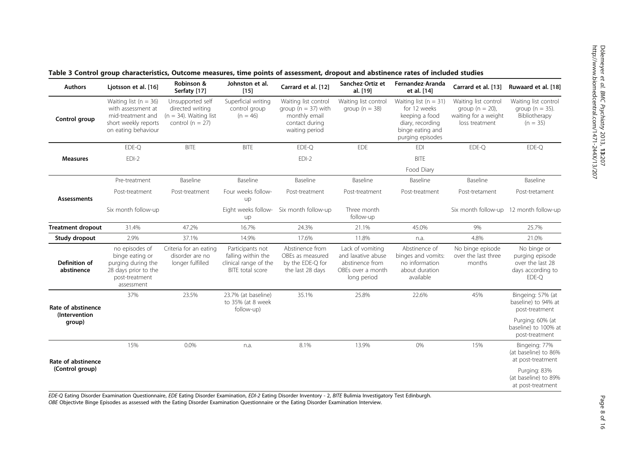| <b>Authors</b>              | Ljotsson et al. [16]                                                                                                | Robinson &<br>Serfaty [17]                                                                | Johnston et al.<br>[15]                                                             | Carrard et al. [12]                                                                                  | Sanchez-Ortiz et<br>al. [19]                                                                  | Fernandez-Aranda<br>et al. [14]                                                                                         | Carrard et al. [13]                                                                   | Ruwaard et al. [18]                                                              |
|-----------------------------|---------------------------------------------------------------------------------------------------------------------|-------------------------------------------------------------------------------------------|-------------------------------------------------------------------------------------|------------------------------------------------------------------------------------------------------|-----------------------------------------------------------------------------------------------|-------------------------------------------------------------------------------------------------------------------------|---------------------------------------------------------------------------------------|----------------------------------------------------------------------------------|
| Control group               | Waiting list ( $n = 36$ )<br>with assessment at<br>mid-treatment and<br>short weekly reports<br>on eating behaviour | Unsupported self<br>directed writing<br>$(n = 34)$ . Waiting list<br>control ( $n = 27$ ) | Superficial writing<br>control group<br>$(n = 46)$                                  | Waiting list control<br>group ( $n = 37$ ) with<br>monthly email<br>contact during<br>waiting period | Waiting list control<br>group ( $n = 38$ )                                                    | Waiting list ( $n = 31$ )<br>for 12 weeks<br>keeping a food<br>diary, recording<br>binge eating and<br>purging episodes | Waiting list control<br>group ( $n = 20$ ),<br>waiting for a weight<br>loss treatment | Waiting list control<br>group ( $n = 35$ ).<br>Bibliotherapy<br>$(n = 35)$       |
|                             | EDE-Q                                                                                                               | <b>BITE</b>                                                                               | <b>BITF</b>                                                                         | EDE-Q                                                                                                | EDE                                                                                           | <b>EDI</b>                                                                                                              | EDE-Q                                                                                 | EDE-Q                                                                            |
| <b>Measures</b>             | $EDI-2$                                                                                                             |                                                                                           |                                                                                     | $EDI-2$                                                                                              |                                                                                               | <b>BITE</b>                                                                                                             |                                                                                       |                                                                                  |
|                             |                                                                                                                     |                                                                                           |                                                                                     |                                                                                                      |                                                                                               | Food Diary                                                                                                              |                                                                                       |                                                                                  |
|                             | Pre-treatment                                                                                                       | Baseline                                                                                  | Baseline                                                                            | Baseline                                                                                             | Baseline                                                                                      | Baseline                                                                                                                | Baseline                                                                              | Baseline                                                                         |
| <b>Assessments</b>          | Post-treatment                                                                                                      | Post-treatment                                                                            | Four weeks follow-<br>up                                                            | Post-treatment                                                                                       | Post-treatment                                                                                | Post-treatment                                                                                                          | Post-tretament                                                                        | Post-tretament                                                                   |
|                             | Six month follow-up                                                                                                 |                                                                                           | Eight weeks follow-<br>up                                                           | Six month follow-up                                                                                  | Three month<br>follow-up                                                                      |                                                                                                                         | Six month follow-up 12 month follow-up                                                |                                                                                  |
| <b>Treatment dropout</b>    | 31.4%                                                                                                               | 47.2%                                                                                     | 16.7%                                                                               | 24.3%                                                                                                | 21.1%                                                                                         | 45.0%                                                                                                                   | 9%                                                                                    | 25.7%                                                                            |
| Study dropout               | 2.9%                                                                                                                | 37.1%                                                                                     | 14.9%                                                                               | 17.6%                                                                                                | 11.8%                                                                                         | n.a.                                                                                                                    | 4.8%                                                                                  | 21.0%                                                                            |
| Definition of<br>abstinence | no episodes of<br>binge eating or<br>purging during the<br>28 days prior to the<br>post-treatment<br>assessment     | Criteria for an eating<br>disorder are no<br>longer fulfilled                             | Participants not<br>falling within the<br>clinical range of the<br>BITE total score | Abstinence from<br>OBEs as measured<br>by the EDE-Q for<br>the last 28 days                          | Lack of vomiting<br>and laxative abuse<br>abstinence from<br>OBEs over a month<br>long period | Abstinence of<br>binges and vomits:<br>no information<br>about duration<br>available                                    | No binge episode<br>over the last three<br>months                                     | No binge or<br>purging episode<br>over the last 28<br>days according to<br>EDE-Q |
| Rate of abstinence          | 37%                                                                                                                 | 23.5%                                                                                     | 23.7% (at baseline)<br>to 35% (at 8 week<br>follow-up)                              | 35.1%                                                                                                | 25.8%                                                                                         | 22.6%                                                                                                                   | 45%                                                                                   | Bingeing: 57% (at<br>baseline) to 94% at<br>post-treatment                       |
| (Intervention<br>group)     |                                                                                                                     |                                                                                           |                                                                                     |                                                                                                      |                                                                                               |                                                                                                                         |                                                                                       | Purging: 60% (at<br>baseline) to 100% at<br>post-treatment                       |
| Rate of abstinence          | 15%                                                                                                                 | 0.0%                                                                                      | n.a.                                                                                | 8.1%                                                                                                 | 13.9%                                                                                         | 0%                                                                                                                      | 15%                                                                                   | Bingeing: 77%<br>(at baseline) to 86%<br>at post-treatment                       |
| (Control group)             |                                                                                                                     |                                                                                           |                                                                                     |                                                                                                      |                                                                                               |                                                                                                                         |                                                                                       | Purging: 83%<br>(at baseline) to 89%<br>at post-treatment                        |

<span id="page-7-0"></span>Table 3 Control group characteristics, Outcome measures, time points of assessment, dropout and abstinence rates of included studies

EDE-Q Eating Disorder Examination Questionnaire, EDE Eating Disorder Examination, EDI-2 Eating Disorder Inventory - 2, BITE Bulimia Investigatory Test Edinburgh.

OBE Objectivte Binge Episodes as assessed with the Eating Disorder Examination Questionnaire or the Eating Disorder Examination Interview.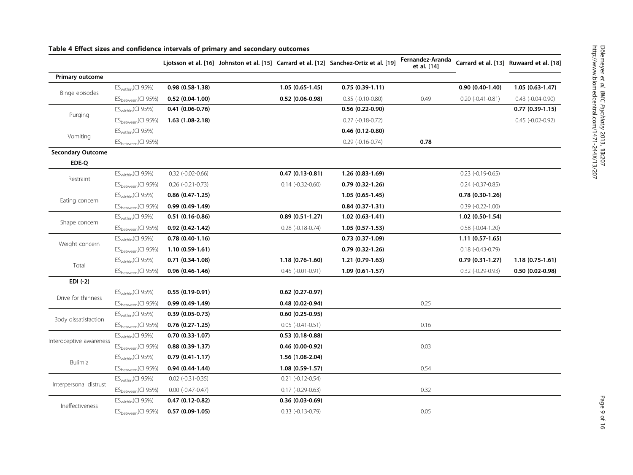|                          |                                | Ljotsson et al. [16] Johnston et al. [15] Carrard et al. [12] Sanchez-Ortiz et al. [19] |                           |                     | Fernandez-Aranda<br>et al. [14] |                         | Carrard et al. [13] Ruwaard et al. [18] |
|--------------------------|--------------------------------|-----------------------------------------------------------------------------------------|---------------------------|---------------------|---------------------------------|-------------------------|-----------------------------------------|
| <b>Primary outcome</b>   |                                |                                                                                         |                           |                     |                                 |                         |                                         |
|                          | $ES_{within}(CI 95%)$          | $0.98(0.58-1.38)$                                                                       | $1.05(0.65-1.45)$         | $0.75(0.39-1.11)$   |                                 | $0.90(0.40-1.40)$       | $1.05(0.63-1.47)$                       |
| Binge episodes           | ES <sub>between</sub> (CI 95%) | $0.52(0.04-1.00)$                                                                       | $0.52(0.06-0.98)$         | $0.35$ (-0.10-0.80) | 0.49                            | $0.20$ (-0.41-0.81)     | $0.43$ (-0.04-0.90)                     |
|                          | $ES_{within}(CI 95%)$          | $0.41(0.06-0.76)$                                                                       |                           | $0.56(0.22-0.90)$   |                                 |                         | $0.77(0.39-1.15)$                       |
| Purging                  | ES <sub>between</sub> (CI 95%) | $1.63(1.08-2.18)$                                                                       |                           | $0.27$ (-0.18-0.72) |                                 |                         | $0.45$ (-0.02-0.92)                     |
| Vomiting                 | $ES_{within}(CI 95%)$          |                                                                                         |                           | $0.46(0.12-0.80)$   |                                 |                         |                                         |
|                          | ES <sub>between</sub> (CI 95%) |                                                                                         |                           | $0.29$ (-0.16-0.74) | 0.78                            |                         |                                         |
| <b>Secondary Outcome</b> |                                |                                                                                         |                           |                     |                                 |                         |                                         |
| EDE-Q                    |                                |                                                                                         |                           |                     |                                 |                         |                                         |
| Restraint                | $ES_{within}(CI 95%)$          | $0.32$ (-0.02-0.66)                                                                     | $0.47(0.13-0.81)$         | $1.26(0.83-1.69)$   |                                 | $0.23$ (-0.19-0.65)     |                                         |
|                          | ES <sub>between</sub> (CI 95%) | $0.26$ (-0.21-0.73)                                                                     | $0.14$ $(-0.32 - 0.60)$   | $0.79(0.32-1.26)$   |                                 | $0.24$ $(-0.37 - 0.85)$ |                                         |
| Eating concern           | $ES_{within}(CI 95%)$          | $0.86$ $(0.47 - 1.25)$                                                                  |                           | $1.05(0.65-1.45)$   |                                 | $0.78(0.30-1.26)$       |                                         |
|                          | ES <sub>between</sub> (CI 95%) | $0.99(0.49-1.49)$                                                                       |                           | $0.84(0.37-1.31)$   |                                 | $0.39(-0.22-1.00)$      |                                         |
|                          | ES <sub>within</sub> (CI 95%)  | $0.51(0.16-0.86)$                                                                       | $0.89(0.51-1.27)$         | $1.02(0.63-1.41)$   |                                 | 1.02 (0.50-1.54)        |                                         |
| Shape concern            | ES <sub>between</sub> (CI 95%) | $0.92(0.42 - 1.42)$                                                                     | $0.28$ ( $-0.18 - 0.74$ ) | $1.05(0.57-1.53)$   |                                 | $0.58$ (-0.04-1.20)     |                                         |
| Weight concern           | $ES_{within}(CI 95%)$          | $0.78(0.40-1.16)$                                                                       |                           | $0.73(0.37-1.09)$   |                                 | $1.11(0.57-1.65)$       |                                         |
|                          | ES <sub>between</sub> (CI 95%) | $1.10(0.59-1.61)$                                                                       |                           | $0.79(0.32-1.26)$   |                                 | $0.18$ (-0.43-0.79)     |                                         |
| Total                    | $ES_{within}(CI 95%)$          | $0.71(0.34-1.08)$                                                                       | $1.18(0.76-1.60)$         | 1.21 (0.79-1.63)    |                                 | $0.79(0.31-1.27)$       | $1.18(0.75-1.61)$                       |
|                          | ES <sub>between</sub> (CI 95%) | $0.96(0.46-1.46)$                                                                       | $0.45$ (-0.01-0.91)       | $1.09(0.61-1.57)$   |                                 | $0.32$ (-0.29-0.93)     | $0.50(0.02-0.98)$                       |
| $EDI(-2)$                |                                |                                                                                         |                           |                     |                                 |                         |                                         |
| Drive for thinness       | $ES_{within}(CI 95%)$          | $0.55(0.19-0.91)$                                                                       | $0.62$ (0.27-0.97)        |                     |                                 |                         |                                         |
|                          | ES <sub>between</sub> (CI 95%) | $0.99(0.49-1.49)$                                                                       | $0.48(0.02-0.94)$         |                     | 0.25                            |                         |                                         |
| Body dissatisfaction     | $ES_{within}(CI 95%)$          | $0.39(0.05-0.73)$                                                                       | $0.60(0.25-0.95)$         |                     |                                 |                         |                                         |
|                          | ES <sub>between</sub> (CI 95%) | $0.76(0.27-1.25)$                                                                       | $0.05$ ( $-0.41 - 0.51$ ) |                     | 0.16                            |                         |                                         |
| Interoceptive awareness  | $ES_{within}(CI 95%)$          | $0.70(0.33-1.07)$                                                                       | $0.53(0.18-0.88)$         |                     |                                 |                         |                                         |
|                          | ES <sub>between</sub> (CI 95%) | $0.88(0.39-1.37)$                                                                       | $0.46(0.00-0.92)$         |                     | 0.03                            |                         |                                         |
| <b>Bulimia</b>           | $ES_{within}(CI 95%)$          | $0.79(0.41-1.17)$                                                                       | 1.56 (1.08-2.04)          |                     |                                 |                         |                                         |
|                          | ES <sub>between</sub> (CI 95%) | $0.94(0.44-1.44)$                                                                       | $1.08(0.59-1.57)$         |                     | 0.54                            |                         |                                         |
|                          | $ES_{within}(CI 95%)$          | $0.02$ (-0.31-0.35)                                                                     | $0.21$ (-0.12-0.54)       |                     |                                 |                         |                                         |
| Interpersonal distrust   | ES <sub>between</sub> (CI 95%) | $0.00 (-0.47 - 0.47)$                                                                   | $0.17$ (-0.29-0.63)       |                     | 0.32                            |                         |                                         |
|                          | $ES_{within}(CI 95%)$          | $0.47(0.12-0.82)$                                                                       | $0.36(0.03-0.69)$         |                     |                                 |                         |                                         |
| Ineffectiveness          | ES <sub>between</sub> (CI 95%) | $0.57(0.09-1.05)$                                                                       | $0.33(-0.13-0.79)$        |                     | 0.05                            |                         |                                         |

## <span id="page-8-0"></span>Table 4 Effect sizes and confidence intervals of primary and secondary outcomes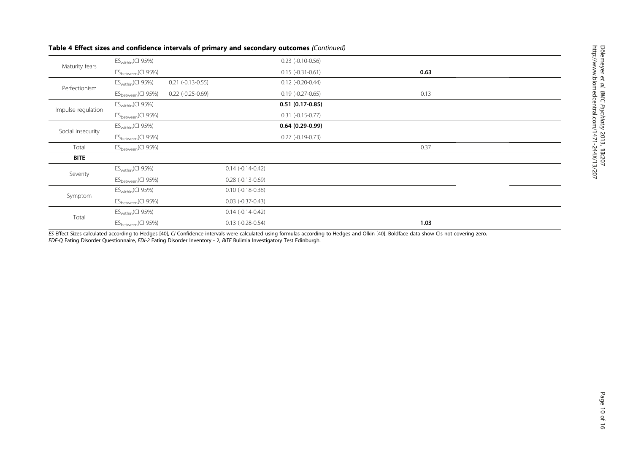| Maturity fears     | $ES_{within}(CI 95%)$          |                     |                           | $0.23$ (-0.10-0.56) |      |
|--------------------|--------------------------------|---------------------|---------------------------|---------------------|------|
|                    | ES <sub>between</sub> (CI 95%) |                     |                           | $0.15(-0.31-0.61)$  | 0.63 |
| Perfectionism      | $ES_{within}(CI 95%)$          | $0.21$ (-0.13-0.55) |                           | $0.12$ (-0.20-0.44) |      |
|                    | ES <sub>between</sub> (CI 95%) | $0.22$ (-0.25-0.69) |                           | $0.19(-0.27-0.65)$  | 0.13 |
|                    | $ES_{within}(CI 95%)$          |                     |                           | $0.51(0.17-0.85)$   |      |
| Impulse regulation | ES <sub>between</sub> (CI 95%) |                     |                           | $0.31(-0.15-0.77)$  |      |
|                    | $ES_{within}(CI 95%)$          |                     |                           | $0.64(0.29-0.99)$   |      |
| Social insecurity  | ES <sub>between</sub> (CI 95%) |                     |                           | $0.27$ (-0.19-0.73) |      |
| Total              | ES <sub>between</sub> (CI 95%) |                     |                           |                     | 0.37 |
| <b>BITE</b>        |                                |                     |                           |                     |      |
| Severity           | $ES_{within}(CI 95%)$          |                     | $0.14(-0.14-0.42)$        |                     |      |
|                    | ES <sub>between</sub> (CI 95%) |                     | $0.28$ ( $-0.13 - 0.69$ ) |                     |      |
|                    | $ES_{within}(CI 95%)$          |                     | $0.10$ (-0.18-0.38)       |                     |      |
| Symptom            | ES <sub>between</sub> (CI 95%) |                     | $0.03$ (-0.37-0.43)       |                     |      |
|                    | $ES_{within}(CI 95%)$          |                     | $0.14(-0.14-0.42)$        |                     |      |
| Total              | ES <sub>between</sub> (CI 95%) |                     | $0.13$ (-0.28-0.54)       |                     | 1.03 |

## Table 4 Effect sizes and confidence intervals of primary and secondary outcomes (Continued)

ES Effect Sizes calculated according to Hedges [[40\]](#page-15-0), CI Confidence intervals were calculated using formulas according to Hedges and Olkin [\[40](#page-15-0)]. Boldface data show CIs not covering zero. EDE-Q Eating Disorder Questionnaire, EDI-2 Eating Disorder Inventory - 2, BITE Bulimia Investigatory Test Edinburgh.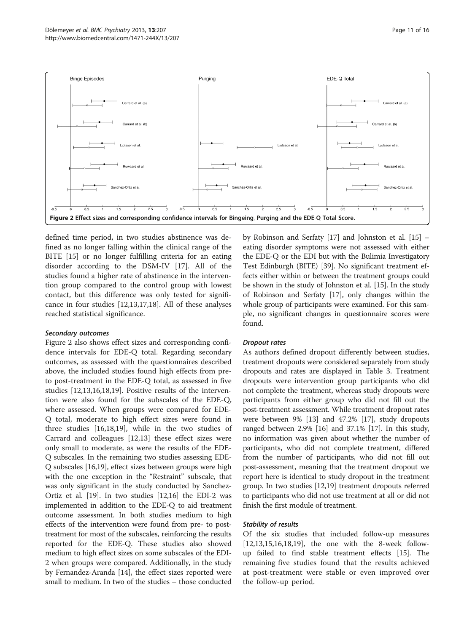<span id="page-10-0"></span>

defined time period, in two studies abstinence was defined as no longer falling within the clinical range of the BITE [[15\]](#page-14-0) or no longer fulfilling criteria for an eating disorder according to the DSM-IV [[17](#page-14-0)]. All of the studies found a higher rate of abstinence in the intervention group compared to the control group with lowest contact, but this difference was only tested for significance in four studies [[12](#page-14-0),[13](#page-14-0),[17](#page-14-0),[18](#page-14-0)]. All of these analyses reached statistical significance.

## Secondary outcomes

Figure 2 also shows effect sizes and corresponding confidence intervals for EDE-Q total. Regarding secondary outcomes, as assessed with the questionnaires described above, the included studies found high effects from preto post-treatment in the EDE-Q total, as assessed in five studies [[12,13,16,18,19\]](#page-14-0). Positive results of the intervention were also found for the subscales of the EDE-Q, where assessed. When groups were compared for EDE-Q total, moderate to high effect sizes were found in three studies [\[16,18,19\]](#page-14-0), while in the two studies of Carrard and colleagues [[12](#page-14-0),[13](#page-14-0)] these effect sizes were only small to moderate, as were the results of the EDE-Q subscales. In the remaining two studies assessing EDE-Q subscales [[16,19](#page-14-0)], effect sizes between groups were high with the one exception in the "Restraint" subscale, that was only significant in the study conducted by Sanchez-Ortiz et al. [[19](#page-14-0)]. In two studies [\[12,16](#page-14-0)] the EDI-2 was implemented in addition to the EDE-Q to aid treatment outcome assessment. In both studies medium to high effects of the intervention were found from pre- to posttreatment for most of the subscales, reinforcing the results reported for the EDE-Q. These studies also showed medium to high effect sizes on some subscales of the EDI-2 when groups were compared. Additionally, in the study by Fernandez-Aranda [\[14\]](#page-14-0), the effect sizes reported were small to medium. In two of the studies – those conducted

by Robinson and Serfaty [\[17\]](#page-14-0) and Johnston et al. [[15](#page-14-0)] – eating disorder symptoms were not assessed with either the EDE-Q or the EDI but with the Bulimia Investigatory Test Edinburgh (BITE) [[39](#page-15-0)]. No significant treatment effects either within or between the treatment groups could be shown in the study of Johnston et al. [\[15\]](#page-14-0). In the study of Robinson and Serfaty [\[17\]](#page-14-0), only changes within the whole group of participants were examined. For this sample, no significant changes in questionnaire scores were found.

## Dropout rates

As authors defined dropout differently between studies, treatment dropouts were considered separately from study dropouts and rates are displayed in Table [3](#page-7-0). Treatment dropouts were intervention group participants who did not complete the treatment, whereas study dropouts were participants from either group who did not fill out the post-treatment assessment. While treatment dropout rates were between 9% [[13](#page-14-0)] and 47.2% [\[17\]](#page-14-0), study dropouts ranged between 2.9% [[16\]](#page-14-0) and 37.1% [\[17\]](#page-14-0). In this study, no information was given about whether the number of participants, who did not complete treatment, differed from the number of participants, who did not fill out post-assessment, meaning that the treatment dropout we report here is identical to study dropout in the treatment group. In two studies [\[12,19\]](#page-14-0) treatment dropouts referred to participants who did not use treatment at all or did not finish the first module of treatment.

## Stability of results

Of the six studies that included follow-up measures [[12,13,15,16,18,19\]](#page-14-0), the one with the 8-week followup failed to find stable treatment effects [[15](#page-14-0)]. The remaining five studies found that the results achieved at post-treatment were stable or even improved over the follow-up period.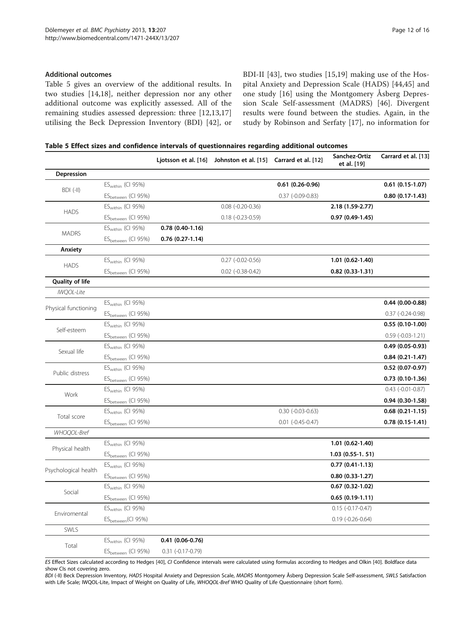Table 5 gives an overview of the additional results. In two studies [[14,18](#page-14-0)], neither depression nor any other additional outcome was explicitly assessed. All of the remaining studies assessed depression: three [[12,13,17](#page-14-0)] utilising the Beck Depression Inventory (BDI) [[42\]](#page-15-0), or BDI-II [\[43](#page-15-0)], two studies [[15,19](#page-14-0)] making use of the Hospital Anxiety and Depression Scale (HADS) [[44,45\]](#page-15-0) and one study [[16\]](#page-14-0) using the Montgomery Åsberg Depression Scale Self-assessment (MADRS) [[46](#page-15-0)]. Divergent results were found between the studies. Again, in the study by Robinson and Serfaty [[17\]](#page-14-0), no information for

| Table 5 Effect sizes and confidence intervals of questionnaires regarding additional outcomes |  |  |
|-----------------------------------------------------------------------------------------------|--|--|
|-----------------------------------------------------------------------------------------------|--|--|

|                        |                                |                     | Ljotsson et al. [16] Johnston et al. [15] Carrard et al. [12] |                         | Sanchez-Ortiz<br>et al. [19] | Carrard et al. [13] |
|------------------------|--------------------------------|---------------------|---------------------------------------------------------------|-------------------------|------------------------------|---------------------|
| Depression             |                                |                     |                                                               |                         |                              |                     |
| BDI (-II)              | $ES_{within}$ (CI 95%)         |                     |                                                               | $0.61(0.26-0.96)$       |                              | 0.61 (0.15-1.07)    |
|                        | ES <sub>between</sub> (CI 95%) |                     |                                                               | $0.37$ (-0.09-0.83)     |                              | $0.80(0.17-1.43)$   |
| <b>HADS</b>            | $ES_{within}$ (CI 95%)         |                     | $0.08$ $(-0.20 - 0.36)$                                       |                         | 2.18 (1.59-2.77)             |                     |
|                        | ES <sub>between</sub> (CI 95%) |                     | $0.18$ (-0.23-0.59)                                           |                         | $0.97(0.49-1.45)$            |                     |
|                        | $ES_{within}$ (CI 95%)         | $0.78(0.40-1.16)$   |                                                               |                         |                              |                     |
| <b>MADRS</b>           | ES <sub>between</sub> (CI 95%) | $0.76(0.27-1.14)$   |                                                               |                         |                              |                     |
| Anxiety                |                                |                     |                                                               |                         |                              |                     |
|                        | $ES_{within}$ (CI 95%)         |                     | $0.27$ (-0.02-0.56)                                           |                         | $1.01(0.62-1.40)$            |                     |
| <b>HADS</b>            | ES <sub>between</sub> (CI 95%) |                     | $0.02$ (-0.38-0.42)                                           |                         | $0.82(0.33-1.31)$            |                     |
| <b>Quality of life</b> |                                |                     |                                                               |                         |                              |                     |
| <b>IWQOL-Lite</b>      |                                |                     |                                                               |                         |                              |                     |
| Physical functioning   | ES <sub>within</sub> (CI 95%)  |                     |                                                               |                         |                              | $0.44(0.00-0.88)$   |
|                        | ES <sub>between</sub> (CI 95%) |                     |                                                               |                         |                              | $0.37(-0.24-0.98)$  |
| Self-esteem            | $ES_{within}$ (CI 95%)         |                     |                                                               |                         |                              | $0.55(0.10-1.00)$   |
|                        | ES <sub>between</sub> (CI 95%) |                     |                                                               |                         |                              | $0.59(-0.03-1.21)$  |
| Sexual life            | $ES_{within}$ (CI 95%)         |                     |                                                               |                         |                              | $0.49(0.05-0.93)$   |
|                        | ES <sub>between</sub> (CI 95%) |                     |                                                               |                         |                              | $0.84(0.21-1.47)$   |
| Public distress        | $ES_{within}$ (CI 95%)         |                     |                                                               |                         |                              | $0.52(0.07-0.97)$   |
|                        | ES <sub>between</sub> (CI 95%) |                     |                                                               |                         |                              | $0.73(0.10-1.36)$   |
|                        | $ES_{within}$ (CI 95%)         |                     |                                                               |                         |                              | $0.43$ (-0.01-0.87) |
| Work                   | ES <sub>between</sub> (CI 95%) |                     |                                                               |                         |                              | $0.94(0.30-1.58)$   |
|                        | $ES_{within}$ (CI 95%)         |                     |                                                               | $0.30$ (-0.03-0.63)     |                              | $0.68(0.21-1.15)$   |
| Total score            | ES <sub>between</sub> (CI 95%) |                     |                                                               | $0.01$ $(-0.45 - 0.47)$ |                              | $0.78(0.15-1.41)$   |
| WHOQOL-Bref            |                                |                     |                                                               |                         |                              |                     |
|                        | $ES_{within}$ (CI 95%)         |                     |                                                               |                         | $1.01(0.62-1.40)$            |                     |
| Physical health        | ES <sub>between</sub> (CI 95%) |                     |                                                               |                         | $1.03(0.55-1.51)$            |                     |
|                        | $ES_{within}$ (CI 95%)         |                     |                                                               |                         | $0.77(0.41-1.13)$            |                     |
| Psychological health   | ES <sub>between</sub> (CI 95%) |                     |                                                               |                         | $0.80(0.33-1.27)$            |                     |
|                        | $ES_{within}$ (CI 95%)         |                     |                                                               |                         | $0.67(0.32-1.02)$            |                     |
| Social                 | ES <sub>between</sub> (CI 95%) |                     |                                                               |                         | $0.65(0.19-1.11)$            |                     |
|                        | $ES_{within}$ (CI 95%)         |                     |                                                               |                         | $0.15 (-0.17 - 0.47)$        |                     |
| Enviromental           | ES <sub>between</sub> (CI 95%) |                     |                                                               |                         | $0.19(-0.26-0.64)$           |                     |
| SWLS                   |                                |                     |                                                               |                         |                              |                     |
|                        | $ES_{within}$ (CI 95%)         | $0.41(0.06-0.76)$   |                                                               |                         |                              |                     |
| Total                  | ES <sub>between</sub> (CI 95%) | $0.31$ (-0.17-0.79) |                                                               |                         |                              |                     |

ES Effect Sizes calculated according to Hedges [[40\]](#page-15-0), CI Confidence intervals were calculated using formulas according to Hedges and Olkin [[40\]](#page-15-0). Boldface data show CIs not covering zero.

BDI (-II) Beck Depression Inventory, HADS Hospital Anxiety and Depression Scale, MADRS Montgomery Åsberg Depression Scale Self-assessment, SWLS Satisfaction with Life Scale; IWQOL-Lite, Impact of Weight on Quality of Life, WHOQOL-Bref WHO Quality of Life Questionnaire (short form).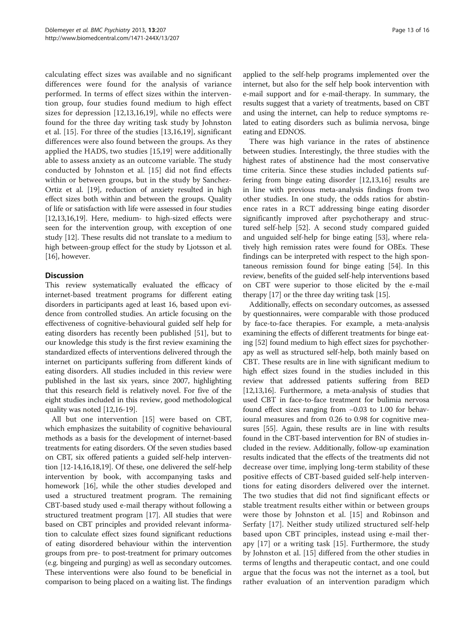calculating effect sizes was available and no significant differences were found for the analysis of variance performed. In terms of effect sizes within the intervention group, four studies found medium to high effect sizes for depression [[12,13,16,19](#page-14-0)], while no effects were found for the three day writing task study by Johnston et al. [[15\]](#page-14-0). For three of the studies [[13,16,19](#page-14-0)], significant differences were also found between the groups. As they applied the HADS, two studies [\[15,19](#page-14-0)] were additionally able to assess anxiety as an outcome variable. The study conducted by Johnston et al. [\[15](#page-14-0)] did not find effects within or between groups, but in the study by Sanchez-Ortiz et al. [[19](#page-14-0)], reduction of anxiety resulted in high effect sizes both within and between the groups. Quality of life or satisfaction with life were assessed in four studies [[12,13,16,19](#page-14-0)]. Here, medium- to high-sized effects were seen for the intervention group, with exception of one study [\[12\]](#page-14-0). These results did not translate to a medium to high between-group effect for the study by Ljotsson et al. [[16](#page-14-0)], however.

## **Discussion**

This review systematically evaluated the efficacy of internet-based treatment programs for different eating disorders in participants aged at least 16, based upon evidence from controlled studies. An article focusing on the effectiveness of cognitive-behavioural guided self help for eating disorders has recently been published [[51](#page-15-0)], but to our knowledge this study is the first review examining the standardized effects of interventions delivered through the internet on participants suffering from different kinds of eating disorders. All studies included in this review were published in the last six years, since 2007, highlighting that this research field is relatively novel. For five of the eight studies included in this review, good methodological quality was noted [\[12,16-19\]](#page-14-0).

All but one intervention [\[15](#page-14-0)] were based on CBT, which emphasizes the suitability of cognitive behavioural methods as a basis for the development of internet-based treatments for eating disorders. Of the seven studies based on CBT, six offered patients a guided self-help intervention [[12](#page-14-0)-[14,16,18,19\]](#page-14-0). Of these, one delivered the self-help intervention by book, with accompanying tasks and homework [[16](#page-14-0)], while the other studies developed and used a structured treatment program. The remaining CBT-based study used e-mail therapy without following a structured treatment program [\[17\]](#page-14-0). All studies that were based on CBT principles and provided relevant information to calculate effect sizes found significant reductions of eating disordered behaviour within the intervention groups from pre- to post-treatment for primary outcomes (e.g. bingeing and purging) as well as secondary outcomes. These interventions were also found to be beneficial in comparison to being placed on a waiting list. The findings

applied to the self-help programs implemented over the internet, but also for the self help book intervention with e-mail support and for e-mail-therapy. In summary, the results suggest that a variety of treatments, based on CBT and using the internet, can help to reduce symptoms related to eating disorders such as bulimia nervosa, binge eating and EDNOS.

There was high variance in the rates of abstinence between studies. Interestingly, the three studies with the highest rates of abstinence had the most conservative time criteria. Since these studies included patients suffering from binge eating disorder [[12,13](#page-14-0),[16](#page-14-0)] results are in line with previous meta-analysis findings from two other studies. In one study, the odds ratios for abstinence rates in a RCT addressing binge eating disorder significantly improved after psychotherapy and structured self-help [[52\]](#page-15-0). A second study compared guided and unguided self-help for binge eating [[53](#page-15-0)], where relatively high remission rates were found for OBEs. These findings can be interpreted with respect to the high spontaneous remission found for binge eating [\[54\]](#page-15-0). In this review, benefits of the guided self-help interventions based on CBT were superior to those elicited by the e-mail therapy [\[17](#page-14-0)] or the three day writing task [[15](#page-14-0)].

Additionally, effects on secondary outcomes, as assessed by questionnaires, were comparable with those produced by face-to-face therapies. For example, a meta-analysis examining the effects of different treatments for binge eating [\[52\]](#page-15-0) found medium to high effect sizes for psychotherapy as well as structured self-help, both mainly based on CBT. These results are in line with significant medium to high effect sizes found in the studies included in this review that addressed patients suffering from BED [[12](#page-14-0),[13,16\]](#page-14-0). Furthermore, a meta-analysis of studies that used CBT in face-to-face treatment for bulimia nervosa found effect sizes ranging from −0.03 to 1.00 for behavioural measures and from 0.26 to 0.98 for cognitive measures [\[55\]](#page-15-0). Again, these results are in line with results found in the CBT-based intervention for BN of studies included in the review. Additionally, follow-up examination results indicated that the effects of the treatments did not decrease over time, implying long-term stability of these positive effects of CBT-based guided self-help interventions for eating disorders delivered over the internet. The two studies that did not find significant effects or stable treatment results either within or between groups were those by Johnston et al. [[15\]](#page-14-0) and Robinson and Serfaty [\[17](#page-14-0)]. Neither study utilized structured self-help based upon CBT principles, instead using e-mail therapy [[17](#page-14-0)] or a writing task [\[15](#page-14-0)]. Furthermore, the study by Johnston et al. [[15\]](#page-14-0) differed from the other studies in terms of lengths and therapeutic contact, and one could argue that the focus was not the internet as a tool, but rather evaluation of an intervention paradigm which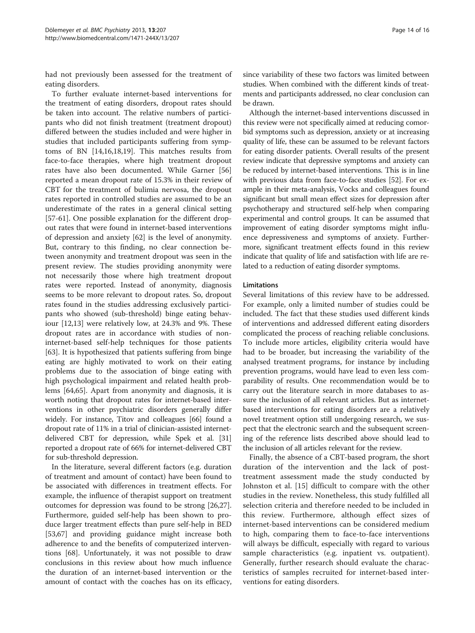had not previously been assessed for the treatment of eating disorders.

To further evaluate internet-based interventions for the treatment of eating disorders, dropout rates should be taken into account. The relative numbers of participants who did not finish treatment (treatment dropout) differed between the studies included and were higher in studies that included participants suffering from symptoms of BN [\[14,16,18,19](#page-14-0)]. This matches results from face-to-face therapies, where high treatment dropout rates have also been documented. While Garner [[56](#page-15-0)] reported a mean dropout rate of 15.3% in their review of CBT for the treatment of bulimia nervosa, the dropout rates reported in controlled studies are assumed to be an underestimate of the rates in a general clinical setting [[57-61](#page-15-0)]. One possible explanation for the different dropout rates that were found in internet-based interventions of depression and anxiety [\[62](#page-15-0)] is the level of anonymity. But, contrary to this finding, no clear connection between anonymity and treatment dropout was seen in the present review. The studies providing anonymity were not necessarily those where high treatment dropout rates were reported. Instead of anonymity, diagnosis seems to be more relevant to dropout rates. So, dropout rates found in the studies addressing exclusively participants who showed (sub-threshold) binge eating behaviour [\[12,13\]](#page-14-0) were relatively low, at 24.3% and 9%. These dropout rates are in accordance with studies of noninternet-based self-help techniques for those patients [[63\]](#page-15-0). It is hypothesized that patients suffering from binge eating are highly motivated to work on their eating problems due to the association of binge eating with high psychological impairment and related health problems [[64,65](#page-15-0)]. Apart from anonymity and diagnosis, it is worth noting that dropout rates for internet-based interventions in other psychiatric disorders generally differ widely. For instance, Titov and colleagues [\[66](#page-15-0)] found a dropout rate of 11% in a trial of clinician-assisted internetdelivered CBT for depression, while Spek et al. [[31](#page-15-0)] reported a dropout rate of 66% for internet-delivered CBT for sub-threshold depression.

In the literature, several different factors (e.g. duration of treatment and amount of contact) have been found to be associated with differences in treatment effects. For example, the influence of therapist support on treatment outcomes for depression was found to be strong [\[26,27](#page-15-0)]. Furthermore, guided self-help has been shown to produce larger treatment effects than pure self-help in BED [[53,67\]](#page-15-0) and providing guidance might increase both adherence to and the benefits of computerized interventions [[68\]](#page-15-0). Unfortunately, it was not possible to draw conclusions in this review about how much influence the duration of an internet-based intervention or the amount of contact with the coaches has on its efficacy, since variability of these two factors was limited between studies. When combined with the different kinds of treatments and participants addressed, no clear conclusion can be drawn.

Although the internet-based interventions discussed in this review were not specifically aimed at reducing comorbid symptoms such as depression, anxiety or at increasing quality of life, these can be assumed to be relevant factors for eating disorder patients. Overall results of the present review indicate that depressive symptoms and anxiety can be reduced by internet-based interventions. This is in line with previous data from face-to-face studies [[52](#page-15-0)]. For example in their meta-analysis, Vocks and colleagues found significant but small mean effect sizes for depression after psychotherapy and structured self-help when comparing experimental and control groups. It can be assumed that improvement of eating disorder symptoms might influence depressiveness and symptoms of anxiety. Furthermore, significant treatment effects found in this review indicate that quality of life and satisfaction with life are related to a reduction of eating disorder symptoms.

#### **Limitations**

Several limitations of this review have to be addressed. For example, only a limited number of studies could be included. The fact that these studies used different kinds of interventions and addressed different eating disorders complicated the process of reaching reliable conclusions. To include more articles, eligibility criteria would have had to be broader, but increasing the variability of the analysed treatment programs, for instance by including prevention programs, would have lead to even less comparability of results. One recommendation would be to carry out the literature search in more databases to assure the inclusion of all relevant articles. But as internetbased interventions for eating disorders are a relatively novel treatment option still undergoing research, we suspect that the electronic search and the subsequent screening of the reference lists described above should lead to the inclusion of all articles relevant for the review.

Finally, the absence of a CBT-based program, the short duration of the intervention and the lack of posttreatment assessment made the study conducted by Johnston et al. [\[15](#page-14-0)] difficult to compare with the other studies in the review. Nonetheless, this study fulfilled all selection criteria and therefore needed to be included in this review. Furthermore, although effect sizes of internet-based interventions can be considered medium to high, comparing them to face-to-face interventions will always be difficult, especially with regard to various sample characteristics (e.g. inpatient vs. outpatient). Generally, further research should evaluate the characteristics of samples recruited for internet-based interventions for eating disorders.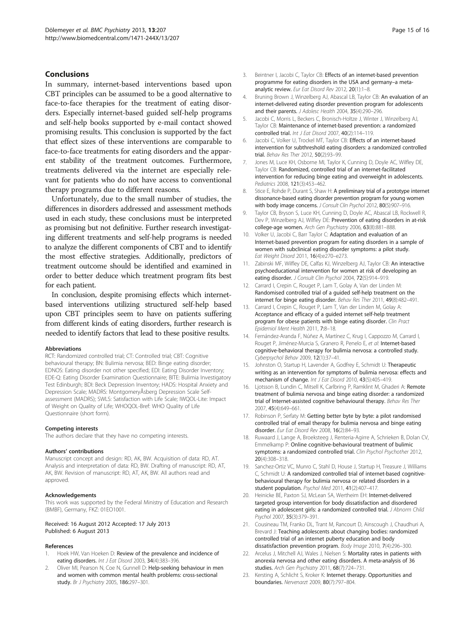## <span id="page-14-0"></span>Conclusions

In summary, internet-based interventions based upon CBT principles can be assumed to be a good alternative to face-to-face therapies for the treatment of eating disorders. Especially internet-based guided self-help programs and self-help books supported by e-mail contact showed promising results. This conclusion is supported by the fact that effect sizes of these interventions are comparable to face-to-face treatments for eating disorders and the apparent stability of the treatment outcomes. Furthermore, treatments delivered via the internet are especially relevant for patients who do not have access to conventional therapy programs due to different reasons.

Unfortunately, due to the small number of studies, the differences in disorders addressed and assessment methods used in each study, these conclusions must be interpreted as promising but not definitive. Further research investigating different treatments and self-help programs is needed to analyze the different components of CBT and to identify the most effective strategies. Additionally, predictors of treatment outcome should be identified and examined in order to better deduce which treatment program fits best for each patient.

In conclusion, despite promising effects which internetbased interventions utilizing structured self-help based upon CBT principles seem to have on patients suffering from different kinds of eating disorders, further research is needed to identify factors that lead to these positive results.

#### Abbreviations

RCT: Randomized controlled trial; CT: Controlled trial; CBT: Cognitive behavioural therapy; BN: Bulimia nervosa; BED: Binge eating disorder; EDNOS: Eating disorder not other specified; EDI: Eating Disorder Inventory; EDE-Q: Eating Disorder Examination Questionnaire; BITE: Bulimia Investigatory Test Edinburgh; BDI: Beck Depression Inventory; HADS: Hospital Anxiety and Depression Scale; MADRS: MontgomeryÅsberg Depression Scale Selfassessment (MADRS); SWLS: Satisfaction with Life Scale; IWQOL-Lite: Impact of Weight on Quality of Life; WHOQOL-Bref: WHO Quality of Life Questionnaire (short form).

#### Competing interests

The authors declare that they have no competing interests.

#### Authors' contributions

Manuscript concept and design: RD, AK, BW. Acquisition of data: RD, AT. Analysis and interpretation of data: RD, BW. Drafting of manuscript: RD, AT, AK, BW. Revision of manuscript: RD, AT, AK, BW. All authors read and approved.

#### Acknowledgements

This work was supported by the Federal Ministry of Education and Research (BMBF), Germany, FKZ: 01EO1001.

### Received: 16 August 2012 Accepted: 17 July 2013 Published: 6 August 2013

#### References

- 1. Hoek HW, Van Hoeken D: Review of the prevalence and incidence of eating disorders. Int J Eat Disord 2003, 34(4):383-396.
- Oliver MI, Pearson N, Coe N, Gunnell D: Help-seeking behaviour in men and women with common mental health problems: cross-sectional study. Br J Psychiatry 2005, 186:297-301.
- 3. Beintner I, Jacobi C, Taylor CB: Effects of an internet-based prevention programme for eating disorders in the USA and germany–a metaanalytic review. Eur Eat Disord Rev 2012, 20(1):1–8.
- 4. Bruning Brown J, Winzelberg AJ, Abascal LB, Taylor CB: An evaluation of an internet-delivered eating disorder prevention program for adolescents and their parents. J Adolesc Health 2004, 35(4):290-296.
- 5. Jacobi C, Morris L, Beckers C, Bronisch-Holtze J, Winter J, Winzelberg AJ, Taylor CB: Maintenance of internet-based prevention: a randomized controlled trial. Int J Eat Disord 2007, 40(2):114–119.
- 6. Jacobi C, Volker U, Trockel MT, Taylor CB: Effects of an internet-based intervention for subthreshold eating disorders: a randomized controlled trial. Behav Res Ther 2012, 50(2):93–99.
- 7. Jones M, Luce KH, Osborne MI, Taylor K, Cunning D, Doyle AC, Wilfley DE, Taylor CB: Randomized, controlled trial of an internet-facilitated intervention for reducing binge eating and overweight in adolescents. Pediatrics 2008, 121(3):453–462.
- 8. Stice E, Rohde P, Durant S, Shaw H: A preliminary trial of a prototype internet dissonance-based eating disorder prevention program for young women with body image concerns. J Consult Clin Psychol 2012, 80(5):907-916.
- 9. Taylor CB, Bryson S, Luce KH, Cunning D, Doyle AC, Abascal LB, Rockwell R, Dev P, Winzelberg AJ, Wilfley DE: Prevention of eating disorders in at-risk college-age women. Arch Gen Psychiatry 2006, 63(8):881–888.
- 10. Volker U, Jacobi C, Barr Taylor C: Adaptation and evaluation of an Internet-based prevention program for eating disorders in a sample of women with subclinical eating disorder symptoms: a pilot study. Eat Weight Disord 2011, 16(4):e270–e273.
- 11. Zabinski MF, Wilfley DE, Calfas KJ, Winzelberg AJ, Taylor CB: An interactive psychoeducational intervention for women at risk of developing an eating disorder. J Consult Clin Psychol 2004, 72(5):914-919.
- 12. Carrard I, Crepin C, Rouget P, Lam T, Golay A, Van der Linden M: Randomised controlled trial of a guided self-help treatment on the internet for binge eating disorder. Behav Res Ther 2011, 49(8):482–491.
- 13. Carrard I, Crepin C, Rouget P, Lam T, Van der Linden M, Golay A: Acceptance and efficacy of a guided internet self-help treatment program for obese patients with binge eating disorder. Clin Pract Epidemiol Ment Health 2011, 7:8–18.
- 14. Fernández-Aranda F, Núñez A, Martínez C, Krug I, Cappozzo M, Carrard I, Rouget P, Jiménez-Murcia S, Granero R, Penelo E, et al: Internet-based cognitive-behavioral therapy for bulimia nervosa: a controlled study. Cyberpsychol Behav 2009, 12(1):37–41.
- 15. Johnston O, Startup H, Lavender A, Godfrey E, Schmidt U: Therapeutic writing as an intervention for symptoms of bulimia nervosa: effects and mechanism of change. Int J Eat Disord 2010, 43(5):405–419.
- 16. Ljotsson B, Lundin C, Mitsell K, Carlbring P, Ramklint M, Ghaderi A: Remote treatment of bulimia nervosa and binge eating disorder: a randomized trial of Internet-assisted cognitive behavioural therapy. Behav Res Ther 2007, 45(4):649–661.
- 17. Robinson P, Serfaty M: Getting better byte by byte: a pilot randomised controlled trial of email therapy for bulimia nervosa and binge eating disorder. Eur Eat Disord Rev 2008, 16(2):84–93.
- 18. Ruwaard J, Lange A, Broeksteeg J, Renteria-Agirre A, Schrieken B, Dolan CV, Emmelkamp P: Online cognitive-behavioural treatment of bulimic symptoms: a randomized controlled trial. Clin Psychol Psychother 2012, 20(4):308–318.
- 19. Sanchez-Ortiz VC, Munro C, Stahl D, House J, Startup H, Treasure J, Williams C, Schmidt U: A randomized controlled trial of internet-based cognitivebehavioural therapy for bulimia nervosa or related disorders in a student population. Psychol Med 2011, 41(2):407–417.
- 20. Heinicke BE, Paxton SJ, McLean SA, Wertheim EH: Internet-delivered targeted group intervention for body dissatisfaction and disordered eating in adolescent girls: a randomized controlled trial. J Abnorm Child Psychol 2007, 35(3):379–391.
- 21. Cousineau TM, Franko DL, Trant M, Rancourt D, Ainscough J, Chaudhuri A, Brevard J: Teaching adolescents about changing bodies: randomized controlled trial of an internet puberty education and body dissatisfaction prevention program. Body Image 2010, 7(4):296–300.
- 22. Arcelus J, Mitchell AJ, Wales J, Nielsen S: Mortality rates in patients with anorexia nervosa and other eating disorders. A meta-analysis of 36 studies. Arch Gen Psychiatry 2011, 68(7):724–731.
- 23. Kersting A, Schlicht S, Kroker K: Internet therapy. Opportunities and boundaries. Nervenarzt 2009, 80(7):797–804.